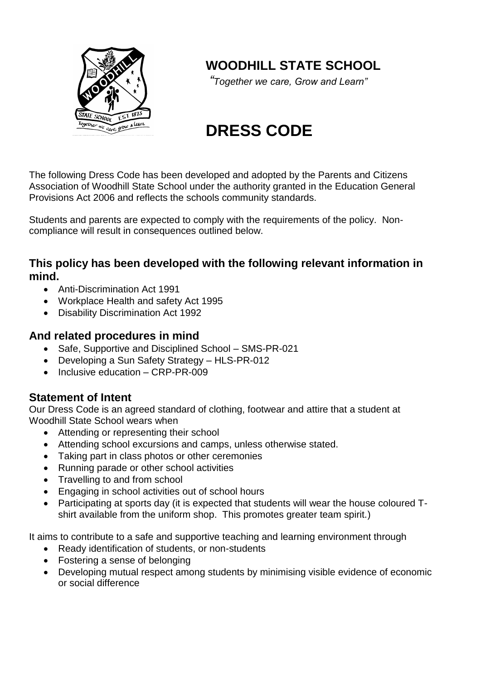

# **WOODHILL STATE SCHOOL**

*"Together we care, Grow and Learn"*

# **DRESS CODE**

The following Dress Code has been developed and adopted by the Parents and Citizens Association of Woodhill State School under the authority granted in the Education General Provisions Act 2006 and reflects the schools community standards.

Students and parents are expected to comply with the requirements of the policy. Noncompliance will result in consequences outlined below.

#### **This policy has been developed with the following relevant information in mind.**

- Anti-Discrimination Act 1991
- Workplace Health and safety Act 1995
- Disability Discrimination Act 1992

#### **And related procedures in mind**

- Safe. Supportive and Disciplined School SMS-PR-021
- Developing a Sun Safety Strategy HLS-PR-012
- $\bullet$  Inclusive education CRP-PR-009

#### **Statement of Intent**

Our Dress Code is an agreed standard of clothing, footwear and attire that a student at Woodhill State School wears when

- Attending or representing their school
- Attending school excursions and camps, unless otherwise stated.
- Taking part in class photos or other ceremonies
- Running parade or other school activities
- Travelling to and from school
- Engaging in school activities out of school hours
- Participating at sports day (it is expected that students will wear the house coloured Tshirt available from the uniform shop. This promotes greater team spirit.)

It aims to contribute to a safe and supportive teaching and learning environment through

- Ready identification of students, or non-students
- Fostering a sense of belonging
- Developing mutual respect among students by minimising visible evidence of economic or social difference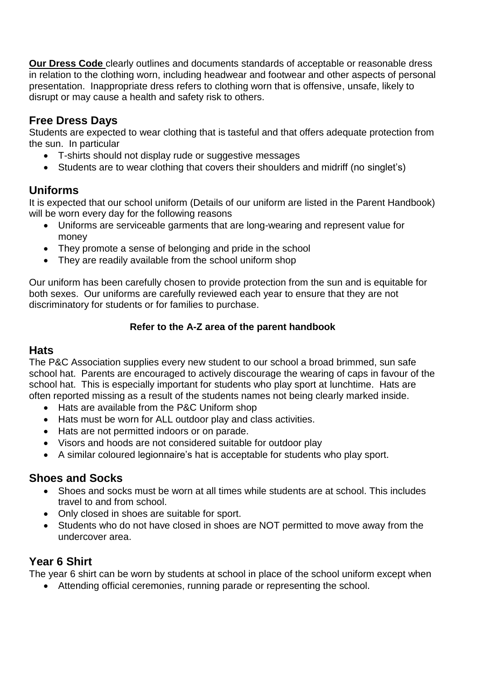**Our Dress Code** clearly outlines and documents standards of acceptable or reasonable dress in relation to the clothing worn, including headwear and footwear and other aspects of personal presentation. Inappropriate dress refers to clothing worn that is offensive, unsafe, likely to disrupt or may cause a health and safety risk to others.

# **Free Dress Days**

Students are expected to wear clothing that is tasteful and that offers adequate protection from the sun. In particular

- T-shirts should not display rude or suggestive messages
- Students are to wear clothing that covers their shoulders and midriff (no singlet's)

# **Uniforms**

It is expected that our school uniform (Details of our uniform are listed in the Parent Handbook) will be worn every day for the following reasons

- Uniforms are serviceable garments that are long-wearing and represent value for money
- They promote a sense of belonging and pride in the school
- They are readily available from the school uniform shop

Our uniform has been carefully chosen to provide protection from the sun and is equitable for both sexes. Our uniforms are carefully reviewed each year to ensure that they are not discriminatory for students or for families to purchase.

#### **Refer to the A-Z area of the parent handbook**

#### **Hats**

The P&C Association supplies every new student to our school a broad brimmed, sun safe school hat. Parents are encouraged to actively discourage the wearing of caps in favour of the school hat. This is especially important for students who play sport at lunchtime. Hats are often reported missing as a result of the students names not being clearly marked inside.

- Hats are available from the P&C Uniform shop
- Hats must be worn for ALL outdoor play and class activities.
- Hats are not permitted indoors or on parade.
- Visors and hoods are not considered suitable for outdoor play
- A similar coloured legionnaire's hat is acceptable for students who play sport.

#### **Shoes and Socks**

- Shoes and socks must be worn at all times while students are at school. This includes travel to and from school.
- Only closed in shoes are suitable for sport.
- Students who do not have closed in shoes are NOT permitted to move away from the undercover area.

# **Year 6 Shirt**

The year 6 shirt can be worn by students at school in place of the school uniform except when

Attending official ceremonies, running parade or representing the school.